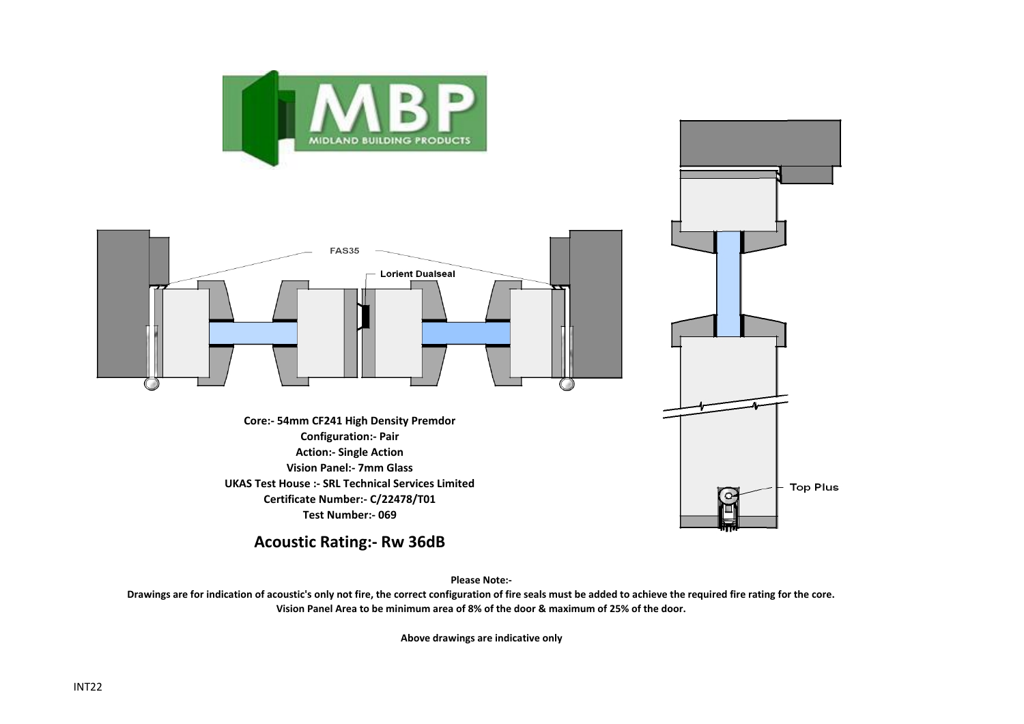



**Acoustic Rating:- Rw 36dB**

**Please Note:-** 

**Drawings are for indication of acoustic's only not fire, the correct configuration of fire seals must be added to achieve the required fire rating for the core. Vision Panel Area to be minimum area of 8% of the door & maximum of 25% of the door.**

**Above drawings are indicative only**